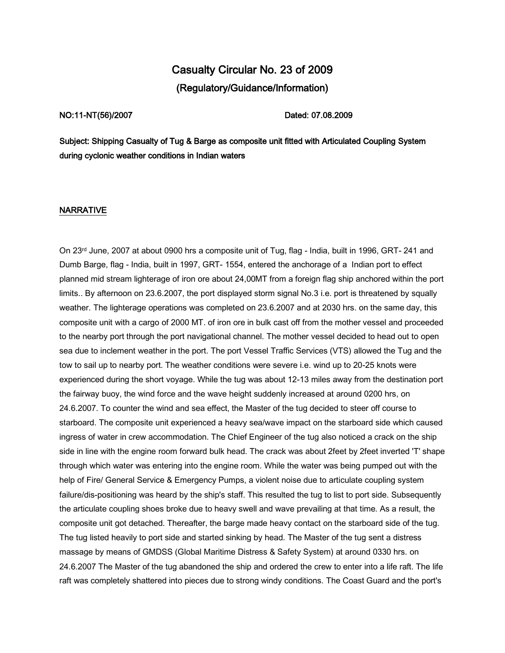## Casualty Circular No. 23 of 2009 (Regulatory/Guidance/Information)

NO:11-NT(56)/2007 Dated: 07.08.2009

Subject: Shipping Casualty of Tug & Barge as composite unit fitted with Articulated Coupling System during cyclonic weather conditions in Indian waters

## NARRATIVE

On 23<sup>rd</sup> June, 2007 at about 0900 hrs a composite unit of Tug, flag - India, built in 1996, GRT- 241 and Dumb Barge, flag - India, built in 1997, GRT- 1554, entered the anchorage of a Indian port to effect planned mid stream lighterage of iron ore about 24,00MT from a foreign flag ship anchored within the port limits.. By afternoon on 23.6.2007, the port displayed storm signal No.3 i.e. port is threatened by squally weather. The lighterage operations was completed on 23.6.2007 and at 2030 hrs. on the same day, this composite unit with a cargo of 2000 MT. of iron ore in bulk cast off from the mother vessel and proceeded to the nearby port through the port navigational channel. The mother vessel decided to head out to open sea due to inclement weather in the port. The port Vessel Traffic Services (VTS) allowed the Tug and the tow to sail up to nearby port. The weather conditions were severe i.e. wind up to 20-25 knots were experienced during the short voyage. While the tug was about 12-13 miles away from the destination port the fairway buoy, the wind force and the wave height suddenly increased at around 0200 hrs, on 24.6.2007. To counter the wind and sea effect, the Master of the tug decided to steer off course to starboard. The composite unit experienced a heavy sea/wave impact on the starboard side which caused ingress of water in crew accommodation. The Chief Engineer of the tug also noticed a crack on the ship side in line with the engine room forward bulk head. The crack was about 2feet by 2feet inverted 'T' shape through which water was entering into the engine room. While the water was being pumped out with the help of Fire/ General Service & Emergency Pumps, a violent noise due to articulate coupling system failure/dis-positioning was heard by the ship's staff. This resulted the tug to list to port side. Subsequently the articulate coupling shoes broke due to heavy swell and wave prevailing at that time. As a result, the composite unit got detached. Thereafter, the barge made heavy contact on the starboard side of the tug. The tug listed heavily to port side and started sinking by head. The Master of the tug sent a distress massage by means of GMDSS (Global Maritime Distress & Safety System) at around 0330 hrs. on 24.6.2007 The Master of the tug abandoned the ship and ordered the crew to enter into a life raft. The life raft was completely shattered into pieces due to strong windy conditions. The Coast Guard and the port's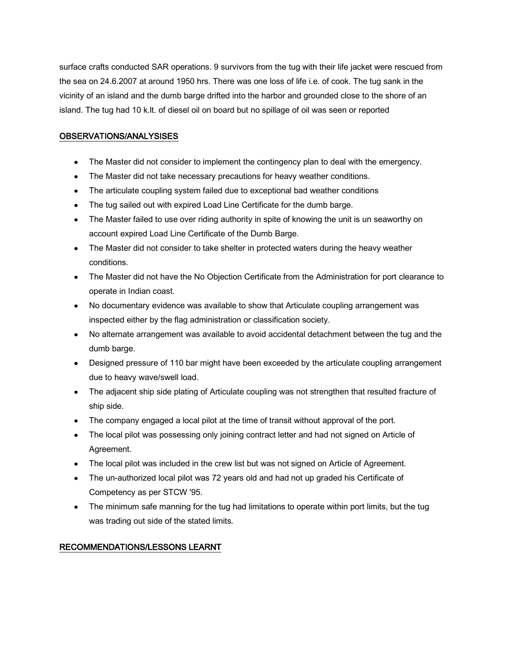surface crafts conducted SAR operations. 9 survivors from the tug with their life jacket were rescued from the sea on 24.6.2007 at around 1950 hrs. There was one loss of life i.e. of cook. The tug sank in the vicinity of an island and the dumb barge drifted into the harbor and grounded close to the shore of an island. The tug had 10 k.lt. of diesel oil on board but no spillage of oil was seen or reported

## OBSERVATIONS/ANALYSISES

- The Master did not consider to implement the contingency plan to deal with the emergency.
- The Master did not take necessary precautions for heavy weather conditions.
- The articulate coupling system failed due to exceptional bad weather conditions
- The tug sailed out with expired Load Line Certificate for the dumb barge.
- The Master failed to use over riding authority in spite of knowing the unit is un seaworthy on account expired Load Line Certificate of the Dumb Barge.
- The Master did not consider to take shelter in protected waters during the heavy weather conditions.
- The Master did not have the No Objection Certificate from the Administration for port clearance to operate in Indian coast.
- No documentary evidence was available to show that Articulate coupling arrangement was inspected either by the flag administration or classification society.
- No alternate arrangement was available to avoid accidental detachment between the tug and the dumb barge.
- Designed pressure of 110 bar might have been exceeded by the articulate coupling arrangement due to heavy wave/swell load.
- The adjacent ship side plating of Articulate coupling was not strengthen that resulted fracture of ship side.
- The company engaged a local pilot at the time of transit without approval of the port.
- The local pilot was possessing only joining contract letter and had not signed on Article of Agreement.
- The local pilot was included in the crew list but was not signed on Article of Agreement.
- The un-authorized local pilot was 72 years old and had not up graded his Certificate of Competency as per STCW '95.
- The minimum safe manning for the tug had limitations to operate within port limits, but the tug was trading out side of the stated limits.

## RECOMMENDATIONS/LESSONS LEARNT